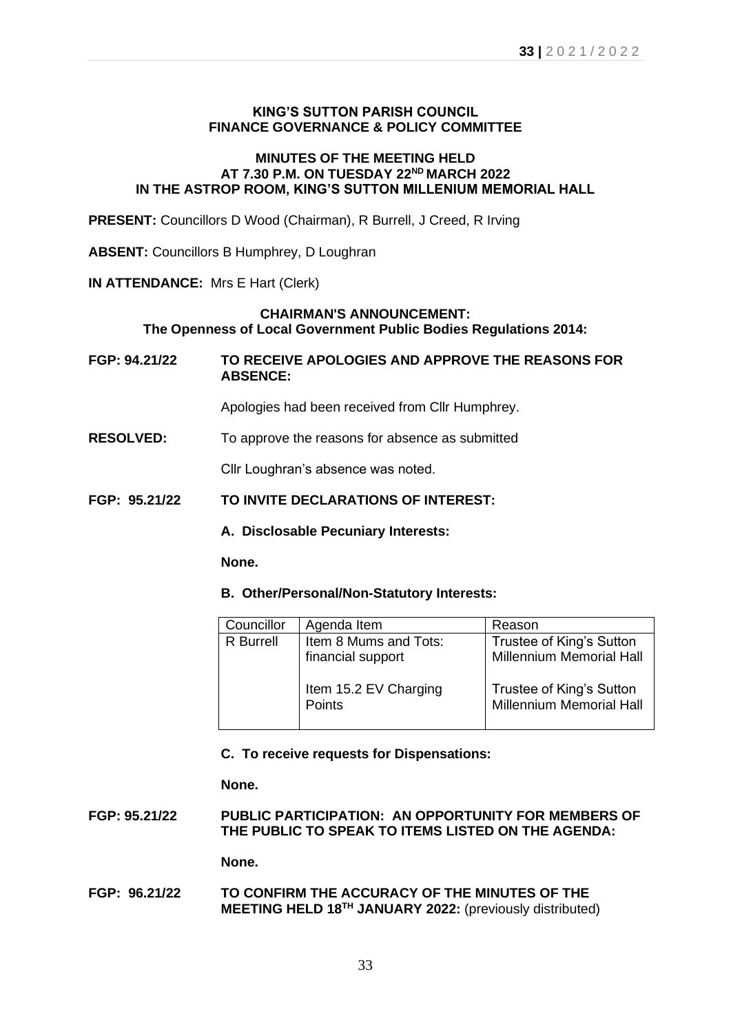### **KING'S SUTTON PARISH COUNCIL FINANCE GOVERNANCE & POLICY COMMITTEE**

## **MINUTES OF THE MEETING HELD AT 7.30 P.M. ON TUESDAY 22ND MARCH 2022 IN THE ASTROP ROOM, KING'S SUTTON MILLENIUM MEMORIAL HALL**

**PRESENT:** Councillors D Wood (Chairman), R Burrell, J Creed, R Irving

**ABSENT:** Councillors B Humphrey, D Loughran

**IN ATTENDANCE:** Mrs E Hart (Clerk)

### **CHAIRMAN'S ANNOUNCEMENT: The Openness of Local Government Public Bodies Regulations 2014:**

**FGP: 94.21/22 TO RECEIVE APOLOGIES AND APPROVE THE REASONS FOR ABSENCE:**

Apologies had been received from Cllr Humphrey.

**RESOLVED:** To approve the reasons for absence as submitted

Cllr Loughran's absence was noted.

### **FGP: 95.21/22 TO INVITE DECLARATIONS OF INTEREST:**

**A. Disclosable Pecuniary Interests:**

**None.**

#### **B. Other/Personal/Non-Statutory Interests:**

| Councillor | Agenda Item                                | Reason                                                      |
|------------|--------------------------------------------|-------------------------------------------------------------|
| R Burrell  | Item 8 Mums and Tots:<br>financial support | Trustee of King's Sutton<br><b>Millennium Memorial Hall</b> |
|            | Item 15.2 EV Charging<br>Points            | Trustee of King's Sutton<br><b>Millennium Memorial Hall</b> |

## **C. To receive requests for Dispensations:**

**None.**

**FGP: 95.21/22 PUBLIC PARTICIPATION: AN OPPORTUNITY FOR MEMBERS OF THE PUBLIC TO SPEAK TO ITEMS LISTED ON THE AGENDA:**

**None.**

**FGP: 96.21/22 TO CONFIRM THE ACCURACY OF THE MINUTES OF THE MEETING HELD 18 TH JANUARY 2022:** (previously distributed)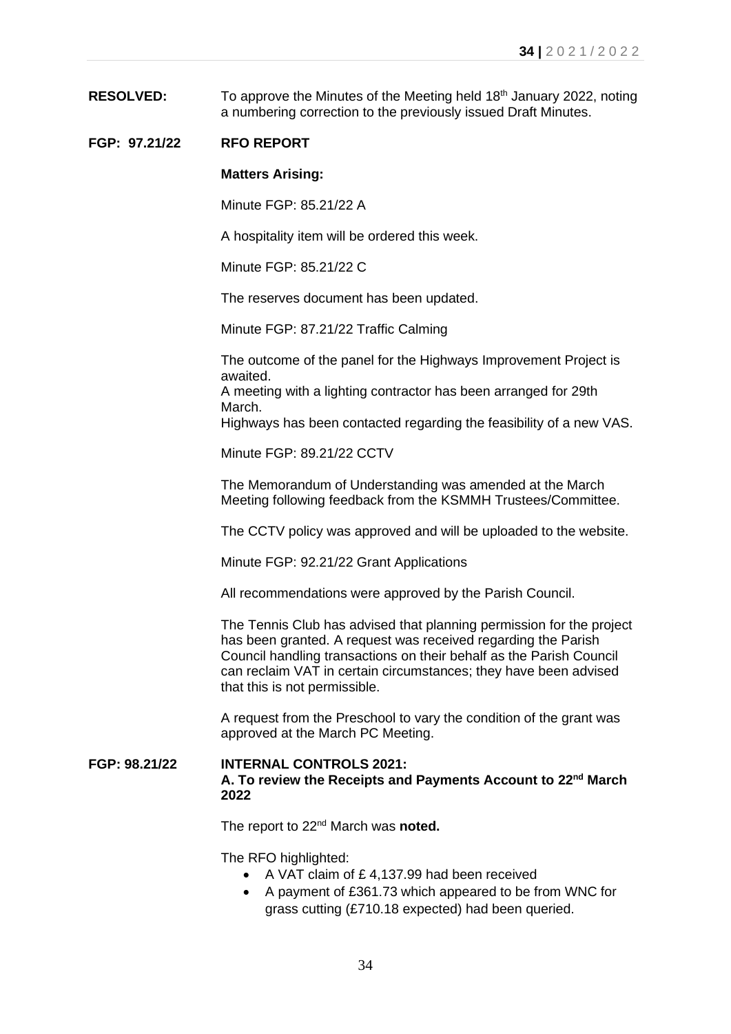**RESOLVED:** To approve the Minutes of the Meeting held 18<sup>th</sup> January 2022, noting a numbering correction to the previously issued Draft Minutes.

# **FGP: 97.21/22 RFO REPORT**

#### **Matters Arising:**

Minute FGP: 85.21/22 A

A hospitality item will be ordered this week.

Minute FGP: 85.21/22 C

The reserves document has been updated.

Minute FGP: 87.21/22 Traffic Calming

The outcome of the panel for the Highways Improvement Project is awaited.

A meeting with a lighting contractor has been arranged for 29th March.

Highways has been contacted regarding the feasibility of a new VAS.

Minute FGP: 89.21/22 CCTV

The Memorandum of Understanding was amended at the March Meeting following feedback from the KSMMH Trustees/Committee.

The CCTV policy was approved and will be uploaded to the website.

Minute FGP: 92.21/22 Grant Applications

All recommendations were approved by the Parish Council.

The Tennis Club has advised that planning permission for the project has been granted. A request was received regarding the Parish Council handling transactions on their behalf as the Parish Council can reclaim VAT in certain circumstances; they have been advised that this is not permissible.

A request from the Preschool to vary the condition of the grant was approved at the March PC Meeting.

**FGP: 98.21/22 INTERNAL CONTROLS 2021: A. To review the Receipts and Payments Account to 22nd March 2022**

The report to 22nd March was **noted.**

The RFO highlighted:

- A VAT claim of £ 4,137.99 had been received
- A payment of £361.73 which appeared to be from WNC for grass cutting (£710.18 expected) had been queried.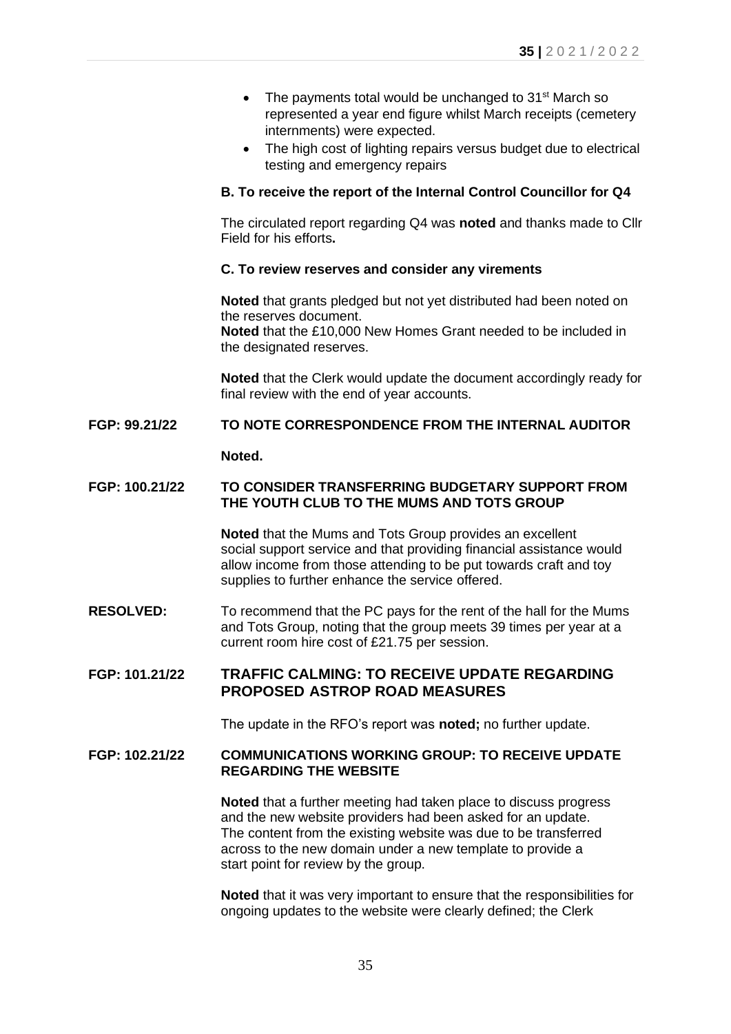- The payments total would be unchanged to 31<sup>st</sup> March so represented a year end figure whilst March receipts (cemetery internments) were expected.
- The high cost of lighting repairs versus budget due to electrical testing and emergency repairs

### **B. To receive the report of the Internal Control Councillor for Q4**

The circulated report regarding Q4 was **noted** and thanks made to Cllr Field for his efforts**.**

### **C. To review reserves and consider any virements**

**Noted** that grants pledged but not yet distributed had been noted on the reserves document. **Noted** that the £10,000 New Homes Grant needed to be included in the designated reserves.

**Noted** that the Clerk would update the document accordingly ready for final review with the end of year accounts.

# **FGP: 99.21/22 TO NOTE CORRESPONDENCE FROM THE INTERNAL AUDITOR**

**Noted.** 

### **FGP: 100.21/22 TO CONSIDER TRANSFERRING BUDGETARY SUPPORT FROM THE YOUTH CLUB TO THE MUMS AND TOTS GROUP**

**Noted** that the Mums and Tots Group provides an excellent social support service and that providing financial assistance would allow income from those attending to be put towards craft and toy supplies to further enhance the service offered.

**RESOLVED:** To recommend that the PC pays for the rent of the hall for the Mums and Tots Group, noting that the group meets 39 times per year at a current room hire cost of £21.75 per session.

# **FGP: 101.21/22 TRAFFIC CALMING: TO RECEIVE UPDATE REGARDING PROPOSED ASTROP ROAD MEASURES**

The update in the RFO's report was **noted;** no further update.

### **FGP: 102.21/22 COMMUNICATIONS WORKING GROUP: TO RECEIVE UPDATE REGARDING THE WEBSITE**

**Noted** that a further meeting had taken place to discuss progress and the new website providers had been asked for an update. The content from the existing website was due to be transferred across to the new domain under a new template to provide a start point for review by the group.

**Noted** that it was very important to ensure that the responsibilities for ongoing updates to the website were clearly defined; the Clerk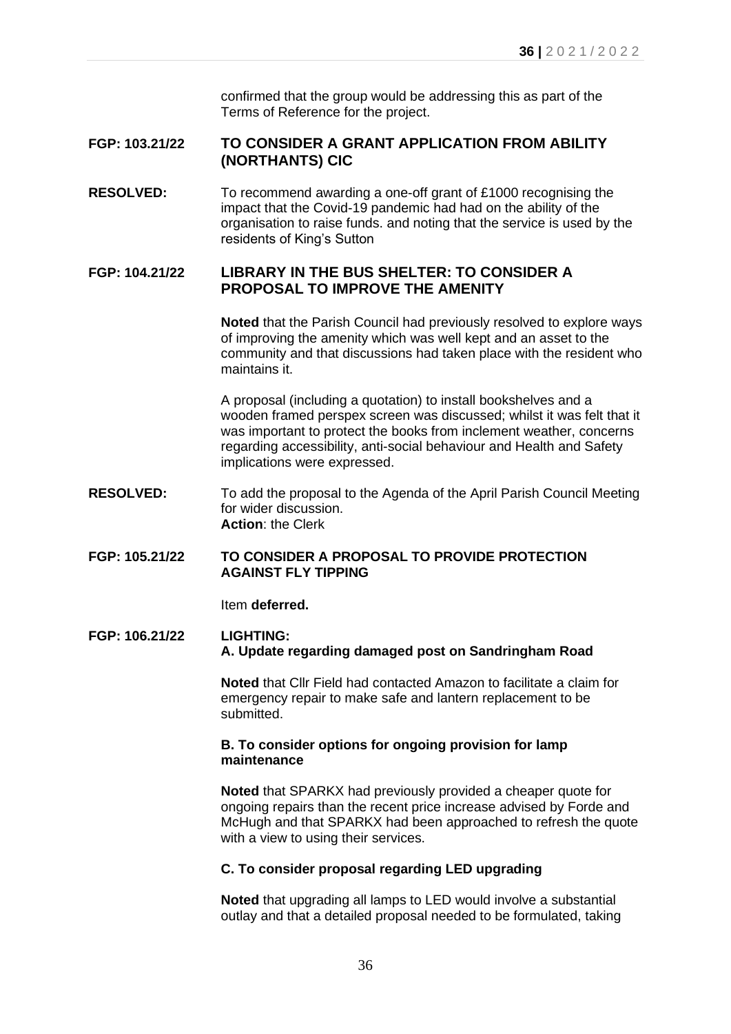confirmed that the group would be addressing this as part of the Terms of Reference for the project.

# **FGP: 103.21/22 TO CONSIDER A GRANT APPLICATION FROM ABILITY (NORTHANTS) CIC**

**RESOLVED:** To recommend awarding a one-off grant of £1000 recognising the impact that the Covid-19 pandemic had had on the ability of the organisation to raise funds. and noting that the service is used by the residents of King's Sutton

# **FGP: 104.21/22 LIBRARY IN THE BUS SHELTER: TO CONSIDER A PROPOSAL TO IMPROVE THE AMENITY**

**Noted** that the Parish Council had previously resolved to explore ways of improving the amenity which was well kept and an asset to the community and that discussions had taken place with the resident who maintains it.

A proposal (including a quotation) to install bookshelves and a wooden framed perspex screen was discussed; whilst it was felt that it was important to protect the books from inclement weather, concerns regarding accessibility, anti-social behaviour and Health and Safety implications were expressed.

- **RESOLVED:** To add the proposal to the Agenda of the April Parish Council Meeting for wider discussion. **Action**: the Clerk
- **FGP: 105.21/22 TO CONSIDER A PROPOSAL TO PROVIDE PROTECTION AGAINST FLY TIPPING**

Item **deferred.**

### **FGP: 106.21/22 LIGHTING: A. Update regarding damaged post on Sandringham Road**

**Noted** that Cllr Field had contacted Amazon to facilitate a claim for emergency repair to make safe and lantern replacement to be submitted.

## **B. To consider options for ongoing provision for lamp maintenance**

**Noted** that SPARKX had previously provided a cheaper quote for ongoing repairs than the recent price increase advised by Forde and McHugh and that SPARKX had been approached to refresh the quote with a view to using their services.

## **C. To consider proposal regarding LED upgrading**

**Noted** that upgrading all lamps to LED would involve a substantial outlay and that a detailed proposal needed to be formulated, taking